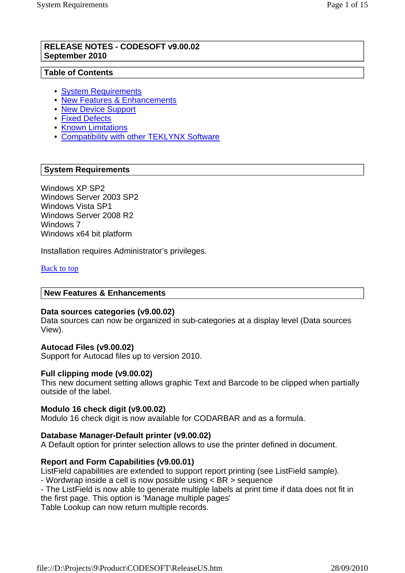### **RELEASE NOTES - CODESOFT v9.00.02 September 2010**

## **Table of Contents**

- System Requirements
- New Features & Enhancements
- New Device Support
- Fixed Defects
- Known Limitations
- Compatibility with other TEKLYNX Software

## **System Requirements**

Windows XP SP2 Windows Server 2003 SP2 Windows Vista SP1 Windows Server 2008 R2 Windows 7 Windows x64 bit platform

Installation requires Administrator's privileges.

Back to top

## **New Features & Enhancements**

#### **Data sources categories (v9.00.02)**

Data sources can now be organized in sub-categories at a display level (Data sources View).

## **Autocad Files (v9.00.02)**

Support for Autocad files up to version 2010.

#### **Full clipping mode (v9.00.02)**

This new document setting allows graphic Text and Barcode to be clipped when partially outside of the label.

#### **Modulo 16 check digit (v9.00.02)**

Modulo 16 check digit is now available for CODARBAR and as a formula.

## **Database Manager-Default printer (v9.00.02)**

A Default option for printer selection allows to use the printer defined in document.

## **Report and Form Capabilities (v9.00.01)**

ListField capabilities are extended to support report printing (see ListField sample).

- Wordwrap inside a cell is now possible using < BR > sequence

- The ListField is now able to generate multiple labels at print time if data does not fit in the first page. This option is 'Manage multiple pages'

Table Lookup can now return multiple records.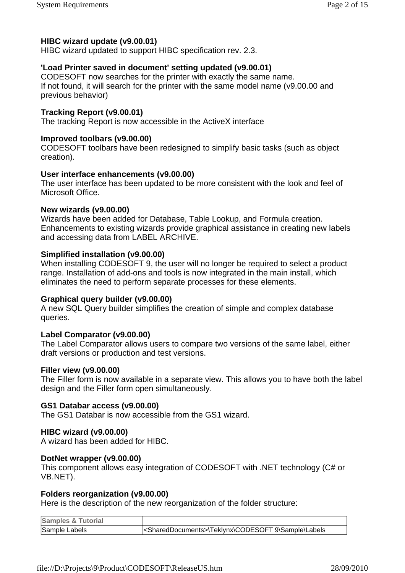HIBC wizard updated to support HIBC specification rev. 2.3.

## **'Load Printer saved in document' setting updated (v9.00.01)**

CODESOFT now searches for the printer with exactly the same name. If not found, it will search for the printer with the same model name (v9.00.00 and previous behavior)

## **Tracking Report (v9.00.01)**

The tracking Report is now accessible in the ActiveX interface

## **Improved toolbars (v9.00.00)**

CODESOFT toolbars have been redesigned to simplify basic tasks (such as object creation).

## **User interface enhancements (v9.00.00)**

The user interface has been updated to be more consistent with the look and feel of Microsoft Office.

## **New wizards (v9.00.00)**

Wizards have been added for Database, Table Lookup, and Formula creation. Enhancements to existing wizards provide graphical assistance in creating new labels and accessing data from LABEL ARCHIVE.

## **Simplified installation (v9.00.00)**

When installing CODESOFT 9, the user will no longer be required to select a product range. Installation of add-ons and tools is now integrated in the main install, which eliminates the need to perform separate processes for these elements.

## **Graphical query builder (v9.00.00)**

A new SQL Query builder simplifies the creation of simple and complex database queries.

## **Label Comparator (v9.00.00)**

The Label Comparator allows users to compare two versions of the same label, either draft versions or production and test versions.

#### **Filler view (v9.00.00)**

The Filler form is now available in a separate view. This allows you to have both the label design and the Filler form open simultaneously.

#### **GS1 Databar access (v9.00.00)**

The GS1 Databar is now accessible from the GS1 wizard.

## **HIBC wizard (v9.00.00)**

A wizard has been added for HIBC.

## **DotNet wrapper (v9.00.00)**

This component allows easy integration of CODESOFT with .NET technology (C# or VB.NET).

## **Folders reorganization (v9.00.00)**

Here is the description of the new reorganization of the folder structure:

| <b>Samples &amp; Tutorial</b> |                                                                      |
|-------------------------------|----------------------------------------------------------------------|
| Sample Labels                 | <shareddocuments>\Teklynx\CODESOFT 9\Sample\Labels</shareddocuments> |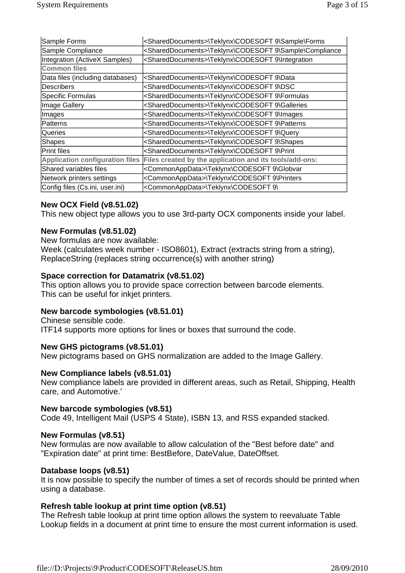| Sample Forms                           | <shareddocuments>\Teklynx\CODESOFT 9\Sample\Forms</shareddocuments>      |
|----------------------------------------|--------------------------------------------------------------------------|
| Sample Compliance                      | <shareddocuments>\Teklynx\CODESOFT 9\Sample\Compliance</shareddocuments> |
| Integration (ActiveX Samples)          | <shareddocuments>\Teklynx\CODESOFT 9\Integration</shareddocuments>       |
| <b>Common files</b>                    |                                                                          |
| Data files (including databases)       | <shareddocuments>\Teklynx\CODESOFT 9\Data</shareddocuments>              |
| <b>Describers</b>                      | <shareddocuments>\Teklynx\CODESOFT 9\DSC</shareddocuments>               |
| Specific Formulas                      | <shareddocuments>\Teklynx\CODESOFT 9\Formulas</shareddocuments>          |
| Image Gallery                          | <shareddocuments>\Teklynx\CODESOFT 9\Galleries</shareddocuments>         |
| Images                                 | <shareddocuments>\Teklynx\CODESOFT 9\Images</shareddocuments>            |
| lPatterns                              | <shareddocuments>\Teklynx\CODESOFT 9\Patterns</shareddocuments>          |
| lQueries                               | <shareddocuments>\Teklynx\CODESOFT 9\Query</shareddocuments>             |
| Shapes                                 | <shareddocuments>\Teklynx\CODESOFT 9\Shapes</shareddocuments>            |
| Print files                            | <shareddocuments>\Teklynx\CODESOFT 9\Print</shareddocuments>             |
| <b>Application configuration files</b> | Files created by the application and its tools/add-ons:                  |
| Shared variables files                 | <commonappdata>\Teklynx\CODESOFT 9\Globvar</commonappdata>               |
| Network printers settings              | <commonappdata>\Teklynx\CODESOFT 9\Printers</commonappdata>              |
| Config files (Cs.ini, user.ini)        | <commonappdata>\Teklynx\CODESOFT 9\</commonappdata>                      |

## **New OCX Field (v8.51.02)**

This new object type allows you to use 3rd-party OCX components inside your label.

#### **New Formulas (v8.51.02)**

New formulas are now available:

Week (calculates week number - ISO8601), Extract (extracts string from a string), ReplaceString (replaces string occurrence(s) with another string)

### **Space correction for Datamatrix (v8.51.02)**

This option allows you to provide space correction between barcode elements. This can be useful for inkjet printers.

## **New barcode symbologies (v8.51.01)**

Chinese sensible code. ITF14 supports more options for lines or boxes that surround the code.

#### **New GHS pictograms (v8.51.01)**

New pictograms based on GHS normalization are added to the Image Gallery.

#### **New Compliance labels (v8.51.01)**

New compliance labels are provided in different areas, such as Retail, Shipping, Health care, and Automotive.'

#### **New barcode symbologies (v8.51)**

Code 49, Intelligent Mail (USPS 4 State), ISBN 13, and RSS expanded stacked.

#### **New Formulas (v8.51)**

New formulas are now available to allow calculation of the "Best before date" and "Expiration date" at print time: BestBefore, DateValue, DateOffset.

#### **Database loops (v8.51)**

It is now possible to specify the number of times a set of records should be printed when using a database.

## **Refresh table lookup at print time option (v8.51)**

The Refresh table lookup at print time option allows the system to reevaluate Table Lookup fields in a document at print time to ensure the most current information is used.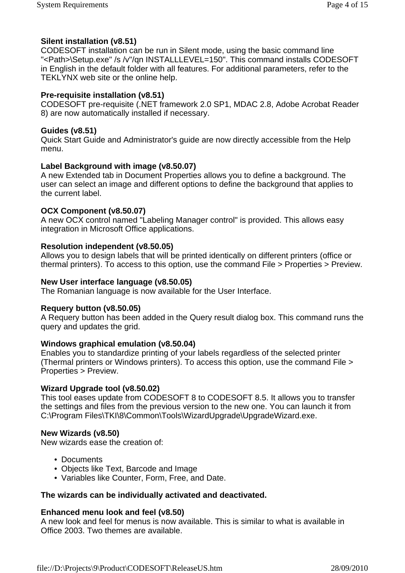# **Silent installation (v8.51)**

CODESOFT installation can be run in Silent mode, using the basic command line "<Path>\Setup.exe" /s /v"/qn INSTALLLEVEL=150". This command installs CODESOFT in English in the default folder with all features. For additional parameters, refer to the TEKLYNX web site or the online help.

# **Pre-requisite installation (v8.51)**

CODESOFT pre-requisite (.NET framework 2.0 SP1, MDAC 2.8, Adobe Acrobat Reader 8) are now automatically installed if necessary.

# **Guides (v8.51)**

Quick Start Guide and Administrator's guide are now directly accessible from the Help menu.

# **Label Background with image (v8.50.07)**

A new Extended tab in Document Properties allows you to define a background. The user can select an image and different options to define the background that applies to the current label.

# **OCX Component (v8.50.07)**

A new OCX control named "Labeling Manager control" is provided. This allows easy integration in Microsoft Office applications.

# **Resolution independent (v8.50.05)**

Allows you to design labels that will be printed identically on different printers (office or thermal printers). To access to this option, use the command File > Properties > Preview.

## **New User interface language (v8.50.05)**

The Romanian language is now available for the User Interface.

# **Requery button (v8.50.05)**

A Requery button has been added in the Query result dialog box. This command runs the query and updates the grid.

# **Windows graphical emulation (v8.50.04)**

Enables you to standardize printing of your labels regardless of the selected printer (Thermal printers or Windows printers). To access this option, use the command File > Properties > Preview.

## **Wizard Upgrade tool (v8.50.02)**

This tool eases update from CODESOFT 8 to CODESOFT 8.5. It allows you to transfer the settings and files from the previous version to the new one. You can launch it from C:\Program Files\TKI\8\Common\Tools\WizardUpgrade\UpgradeWizard.exe.

# **New Wizards (v8.50)**

New wizards ease the creation of:

- Documents
- Objects like Text, Barcode and Image
- Variables like Counter, Form, Free, and Date.

# **The wizards can be individually activated and deactivated.**

# **Enhanced menu look and feel (v8.50)**

A new look and feel for menus is now available. This is similar to what is available in Office 2003. Two themes are available.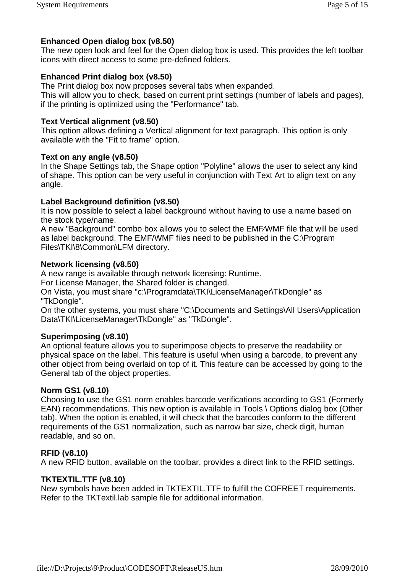The new open look and feel for the Open dialog box is used. This provides the left toolbar icons with direct access to some pre-defined folders.

# **Enhanced Print dialog box (v8.50)**

The Print dialog box now proposes several tabs when expanded.

This will allow you to check, based on current print settings (number of labels and pages), if the printing is optimized using the "Performance" tab.

## **Text Vertical alignment (v8.50)**

This option allows defining a Vertical alignment for text paragraph. This option is only available with the "Fit to frame" option.

## **Text on any angle (v8.50)**

In the Shape Settings tab, the Shape option "Polyline" allows the user to select any kind of shape. This option can be very useful in conjunction with Text Art to align text on any angle.

## **Label Background definition (v8.50)**

It is now possible to select a label background without having to use a name based on the stock type/name.

A new "Background" combo box allows you to select the EMF⁄WMF file that will be used as label background. The EMF/WMF files need to be published in the C:\Program Files\TKI\8\Common\LFM directory.

## **Network licensing (v8.50)**

A new range is available through network licensing: Runtime.

For License Manager, the Shared folder is changed.

On Vista, you must share "c:\Programdata\TKI\LicenseManager\TkDongle" as "TkDongle".

On the other systems, you must share "C:\Documents and Settings\All Users\Application Data\TKI\LicenseManager\TkDongle" as "TkDongle".

## **Superimposing (v8.10)**

An optional feature allows you to superimpose objects to preserve the readability or physical space on the label. This feature is useful when using a barcode, to prevent any other object from being overlaid on top of it. This feature can be accessed by going to the General tab of the object properties.

## **Norm GS1 (v8.10)**

Choosing to use the GS1 norm enables barcode verifications according to GS1 (Formerly EAN) recommendations. This new option is available in Tools \ Options dialog box (Other tab). When the option is enabled, it will check that the barcodes conform to the different requirements of the GS1 normalization, such as narrow bar size, check digit, human readable, and so on.

## **RFID (v8.10)**

A new RFID button, available on the toolbar, provides a direct link to the RFID settings.

## **TKTEXTIL.TTF (v8.10)**

New symbols have been added in TKTEXTIL.TTF to fulfill the COFREET requirements. Refer to the TKTextil.lab sample file for additional information.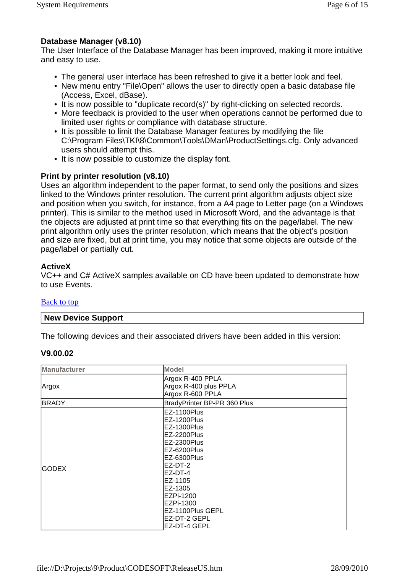# **Database Manager (v8.10)**

The User Interface of the Database Manager has been improved, making it more intuitive and easy to use.

- The general user interface has been refreshed to give it a better look and feel.
- New menu entry "File\Open" allows the user to directly open a basic database file (Access, Excel, dBase).
- It is now possible to "duplicate record(s)" by right-clicking on selected records.
- More feedback is provided to the user when operations cannot be performed due to limited user rights or compliance with database structure.
- It is possible to limit the Database Manager features by modifying the file C:\Program Files\TKI\8\Common\Tools\DMan\ProductSettings.cfg. Only advanced users should attempt this.
- It is now possible to customize the display font.

# **Print by printer resolution (v8.10)**

Uses an algorithm independent to the paper format, to send only the positions and sizes linked to the Windows printer resolution. The current print algorithm adjusts object size and position when you switch, for instance, from a A4 page to Letter page (on a Windows printer). This is similar to the method used in Microsoft Word, and the advantage is that the objects are adjusted at print time so that everything fits on the page/label. The new print algorithm only uses the printer resolution, which means that the object's position and size are fixed, but at print time, you may notice that some objects are outside of the page/label or partially cut.

## **ActiveX**

VC++ and C# ActiveX samples available on CD have been updated to demonstrate how to use Events.

## Back to top

## **New Device Support**

The following devices and their associated drivers have been added in this version:

## **V9.00.02**

| <b>Manufacturer</b> | <b>Model</b>                |  |
|---------------------|-----------------------------|--|
|                     | Argox R-400 PPLA            |  |
| Argox               | Argox R-400 plus PPLA       |  |
|                     | Argox R-600 PPLA            |  |
| <b>BRADY</b>        | BradyPrinter BP-PR 360 Plus |  |
|                     | EZ-1100Plus                 |  |
|                     | EZ-1200Plus                 |  |
|                     | IEZ-1300Plus                |  |
|                     | EZ-2200Plus                 |  |
|                     | EZ-2300Plus                 |  |
|                     | EZ-6200Plus                 |  |
|                     | EZ-6300Plus                 |  |
| <b>GODEX</b>        | EZ-DT-2                     |  |
|                     | EZ-DT-4                     |  |
|                     | EZ-1105                     |  |
|                     | EZ-1305                     |  |
|                     | EZPi-1200                   |  |
|                     | IEZPi-1300                  |  |
|                     | EZ-1100Plus GEPL            |  |
|                     | EZ-DT-2 GEPL                |  |
|                     | EZ-DT-4 GEPL                |  |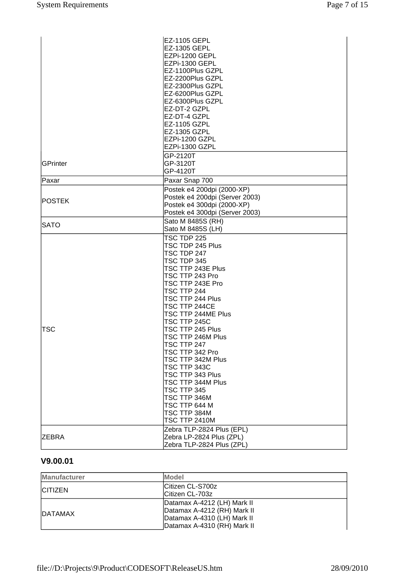|                 | <b>EZ-1105 GEPL</b>            |
|-----------------|--------------------------------|
|                 | EZ-1305 GEPL                   |
|                 | EZPi-1200 GEPL                 |
|                 | EZPi-1300 GEPL                 |
|                 | EZ-1100Plus GZPL               |
|                 | EZ-2200Plus GZPL               |
|                 |                                |
|                 | EZ-2300Plus GZPL               |
|                 | EZ-6200Plus GZPL               |
|                 | EZ-6300Plus GZPL               |
|                 | EZ-DT-2 GZPL                   |
|                 | EZ-DT-4 GZPL                   |
|                 | EZ-1105 GZPL                   |
|                 | EZ-1305 GZPL                   |
|                 | EZPi-1200 GZPL                 |
|                 | EZPi-1300 GZPL                 |
|                 | GP-2120T                       |
| <b>GPrinter</b> | GP-3120T                       |
|                 |                                |
|                 | GP-4120T                       |
| Paxar           | Paxar Snap 700                 |
|                 | Postek e4 200dpi (2000-XP)     |
| POSTEK          | Postek e4 200dpi (Server 2003) |
|                 | Postek e4 300dpi (2000-XP)     |
|                 | Postek e4 300dpi (Server 2003) |
|                 | Sato M 8485S (RH)              |
| <b>SATO</b>     | Sato M 8485S (LH)              |
|                 | TSC TDP 225                    |
|                 | TSC TDP 245 Plus               |
|                 | TSC TDP 247                    |
|                 | TSC TDP 345                    |
|                 |                                |
|                 | TSC TTP 243E Plus              |
|                 | TSC TTP 243 Pro                |
|                 | TSC TTP 243E Pro               |
|                 | TSC TTP 244                    |
|                 | TSC TTP 244 Plus               |
|                 | TSC TTP 244CE                  |
|                 | TSC TTP 244ME Plus             |
|                 | TSC TTP 245C                   |
| <b>TSC</b>      | TSC TTP 245 Plus               |
|                 | TSC TTP 246M Plus              |
|                 | TSC TTP 247                    |
|                 | TSC TTP 342 Pro                |
|                 | TSC TTP 342M Plus              |
|                 | TSC TTP 343C                   |
|                 | TSC TTP 343 Plus               |
|                 | TSC TTP 344M Plus              |
|                 | TSC TTP 345                    |
|                 |                                |
|                 | TSC TTP 346M                   |
|                 | TSC TTP 644 M                  |
|                 | TSC TTP 384M                   |
|                 | <b>TSC TTP 2410M</b>           |
|                 | Zebra TLP-2824 Plus (EPL)      |
| <b>ZEBRA</b>    | Zebra LP-2824 Plus (ZPL)       |
|                 | Zebra TLP-2824 Plus (ZPL)      |

# **V9.00.01**

| <b>Manufacturer</b> | <b>Model</b>                                               |
|---------------------|------------------------------------------------------------|
| <b>ICITIZEN</b>     | Citizen CL-S700z<br>Citizen CL-703z                        |
|                     | Datamax A-4212 (LH) Mark II                                |
| <b>IDATAMAX</b>     | Datamax A-4212 (RH) Mark II                                |
|                     | Datamax A-4310 (LH) Mark II<br>Datamax A-4310 (RH) Mark II |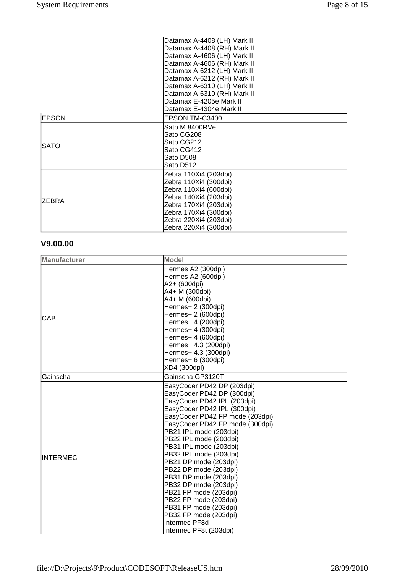|               | Datamax A-4408 (LH) Mark II |
|---------------|-----------------------------|
|               | Datamax A-4408 (RH) Mark II |
|               | Datamax A-4606 (LH) Mark II |
|               | Datamax A-4606 (RH) Mark II |
|               | Datamax A-6212 (LH) Mark II |
|               | Datamax A-6212 (RH) Mark II |
|               | Datamax A-6310 (LH) Mark II |
|               | Datamax A-6310 (RH) Mark II |
|               | Datamax E-4205e Mark II     |
|               | Datamax E-4304e Mark II     |
| <b>EPSON</b>  | EPSON TM-C3400              |
|               | Sato M 8400RVe              |
|               | Sato CG208                  |
|               | Sato CG212                  |
| <b>SATO</b>   | Sato CG412                  |
|               | Sato D508                   |
|               | Sato D512                   |
|               | Zebra 110Xi4 (203dpi)       |
|               | Zebra 110Xi4 (300dpi)       |
|               | Zebra 110Xi4 (600dpi)       |
|               | Zebra 140Xi4 (203dpi)       |
| <b>IZEBRA</b> | Zebra 170Xi4 (203dpi)       |
|               | Zebra 170Xi4 (300dpi)       |
|               | Zebra 220Xi4 (203dpi)       |
|               | Zebra 220Xi4 (300dpi)       |

# **V9.00.00**

| <b>Manufacturer</b> | <b>Model</b>                                                                                                                                |
|---------------------|---------------------------------------------------------------------------------------------------------------------------------------------|
|                     | Hermes A2 (300dpi)                                                                                                                          |
|                     | Hermes A2 (600dpi)                                                                                                                          |
|                     | A2+ (600dpi)                                                                                                                                |
|                     | A4+ M (300dpi)                                                                                                                              |
|                     | A4+ M (600dpi)                                                                                                                              |
|                     | Hermes+ 2 (300dpi)                                                                                                                          |
| CAB                 | Hermes+ 2 (600dpi)                                                                                                                          |
|                     | Hermes+ 4 (200dpi)                                                                                                                          |
|                     | Hermes+ 4 (300dpi)                                                                                                                          |
|                     | Hermes+ 4 (600dpi)                                                                                                                          |
|                     | Hermes+ 4.3 (200dpi)                                                                                                                        |
|                     | Hermes+ 4.3 (300dpi)                                                                                                                        |
|                     | Hermes+ 6 (300dpi)                                                                                                                          |
|                     | XD4 (300dpi)                                                                                                                                |
| Gainscha            | Gainscha GP3120T                                                                                                                            |
|                     | EasyCoder PD42 DP (203dpi)                                                                                                                  |
|                     | EasyCoder PD42 DP (300dpi)                                                                                                                  |
|                     | EasyCoder PD42 IPL (203dpi)                                                                                                                 |
|                     | EasyCoder PD42 IPL (300dpi)                                                                                                                 |
|                     | EasyCoder PD42 FP mode (203dpi)                                                                                                             |
|                     | EasyCoder PD42 FP mode (300dpi)                                                                                                             |
|                     | PB21 IPL mode (203dpi)                                                                                                                      |
|                     | PB22 IPL mode (203dpi)                                                                                                                      |
|                     | PB31 IPL mode (203dpi)                                                                                                                      |
| <b>INTERMEC</b>     | PB32 IPL mode (203dpi)                                                                                                                      |
|                     | PB21 DP mode (203dpi)                                                                                                                       |
|                     | PB22 DP mode (203dpi)                                                                                                                       |
|                     | PB31 DP mode (203dpi)                                                                                                                       |
|                     | PB32 DP mode (203dpi)                                                                                                                       |
|                     |                                                                                                                                             |
|                     |                                                                                                                                             |
|                     |                                                                                                                                             |
|                     |                                                                                                                                             |
|                     |                                                                                                                                             |
|                     | PB21 FP mode (203dpi)<br>PB22 FP mode (203dpi)<br>PB31 FP mode (203dpi)<br>PB32 FP mode (203dpi)<br>Intermec PF8d<br>Intermec PF8t (203dpi) |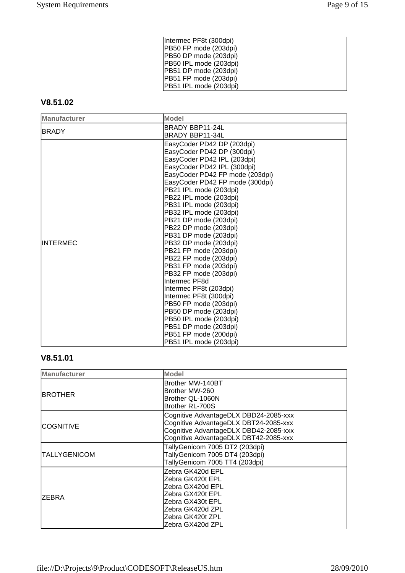| Intermec PF8t (300dpi) |
|------------------------|
| PB50 FP mode (203dpi)  |
| PB50 DP mode (203dpi)  |
| PB50 IPL mode (203dpi) |
| PB51 DP mode (203dpi)  |
| PB51 FP mode (203dpi)  |
| PB51 IPL mode (203dpi) |

# **V8.51.02**

| <b>Manufacturer</b> | <b>Model</b>                    |
|---------------------|---------------------------------|
| <b>BRADY</b>        | BRADY BBP11-24L                 |
|                     | BRADY BBP11-34L                 |
|                     | EasyCoder PD42 DP (203dpi)      |
|                     | EasyCoder PD42 DP (300dpi)      |
|                     | EasyCoder PD42 IPL (203dpi)     |
|                     | EasyCoder PD42 IPL (300dpi)     |
|                     | EasyCoder PD42 FP mode (203dpi) |
|                     | EasyCoder PD42 FP mode (300dpi) |
|                     | PB21 IPL mode (203dpi)          |
|                     | PB22 IPL mode (203dpi)          |
|                     | PB31 IPL mode (203dpi)          |
|                     | PB32 IPL mode (203dpi)          |
|                     | PB21 DP mode (203dpi)           |
|                     | PB22 DP mode (203dpi)           |
|                     | PB31 DP mode (203dpi)           |
| <b>IINTERMEC</b>    | PB32 DP mode (203dpi)           |
|                     | PB21 FP mode (203dpi)           |
|                     | PB22 FP mode (203dpi)           |
|                     | PB31 FP mode (203dpi)           |
|                     | PB32 FP mode (203dpi)           |
|                     | Intermec PF8d                   |
|                     | Intermec PF8t (203dpi)          |
|                     | Intermec PF8t (300dpi)          |
|                     | PB50 FP mode (203dpi)           |
|                     | PB50 DP mode (203dpi)           |
|                     | PB50 IPL mode (203dpi)          |
|                     | PB51 DP mode (203dpi)           |
|                     | PB51 FP mode (200dpi)           |
|                     | PB51 IPL mode (203dpi)          |

# **V8.51.01**

| <b>Manufacturer</b> | Model                                                                                                                                                            |
|---------------------|------------------------------------------------------------------------------------------------------------------------------------------------------------------|
| <b>IBROTHER</b>     | lBrother MW-140BT<br>Brother MW-260<br>Brother QL-1060N<br>Brother RL-700S                                                                                       |
| ICOGNITIVE          | Cognitive AdvantageDLX DBD24-2085-xxx<br>Cognitive AdvantageDLX DBT24-2085-xxx<br>Cognitive AdvantageDLX DBD42-2085-xxx<br>Cognitive AdvantageDLX DBT42-2085-xxx |
| <b>TALLYGENICOM</b> | TallyGenicom 7005 DT2 (203dpi)<br>TallyGenicom 7005 DT4 (203dpi)<br>TallyGenicom 7005 TT4 (203dpi)                                                               |
| <b>IZEBRA</b>       | Zebra GK420d EPL<br>Zebra GK420t EPL<br>Zebra GX420d EPL<br>Zebra GX420t EPL<br>Zebra GX430t EPL<br>Zebra GK420d ZPL<br>Zebra GK420t ZPL<br>Zebra GX420d ZPL     |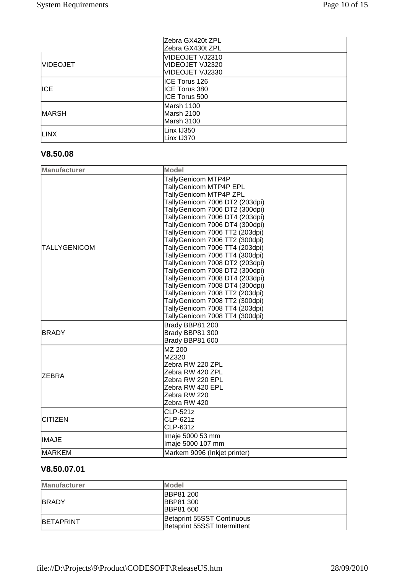|                 | lZebra GX420t ZPL |
|-----------------|-------------------|
|                 | Zebra GX430t ZPL  |
|                 | VIDEOJET VJ2310   |
| <b>VIDEOJET</b> | IVIDEOJET VJ2320  |
|                 | VIDEOJET VJ2330   |
|                 | ICE Torus 126     |
| <b>ICE</b>      | ICE Torus 380     |
|                 | IICE Torus 500    |
|                 | Marsh 1100        |
| <b>MARSH</b>    | lMarsh 2100       |
|                 | Marsh 3100        |
| <b>LINX</b>     | Linx IJ350        |
|                 | Linx IJ370        |

# **V8.50.08**

| <b>Manufacturer</b> | <b>Model</b>                                                                                                                                                                                                                                                                                                                                                                                                                                                                                                                                                                                         |
|---------------------|------------------------------------------------------------------------------------------------------------------------------------------------------------------------------------------------------------------------------------------------------------------------------------------------------------------------------------------------------------------------------------------------------------------------------------------------------------------------------------------------------------------------------------------------------------------------------------------------------|
| <b>TALLYGENICOM</b> | TallyGenicom MTP4P<br>TallyGenicom MTP4P EPL<br>TallyGenicom MTP4P ZPL<br>TallyGenicom 7006 DT2 (203dpi)<br>TallyGenicom 7006 DT2 (300dpi)<br>TallyGenicom 7006 DT4 (203dpi)<br>TallyGenicom 7006 DT4 (300dpi)<br>TallyGenicom 7006 TT2 (203dpi)<br>TallyGenicom 7006 TT2 (300dpi)<br>TallyGenicom 7006 TT4 (203dpi)<br>TallyGenicom 7006 TT4 (300dpi)<br>TallyGenicom 7008 DT2 (203dpi)<br>TallyGenicom 7008 DT2 (300dpi)<br>TallyGenicom 7008 DT4 (203dpi)<br>TallyGenicom 7008 DT4 (300dpi)<br>TallyGenicom 7008 TT2 (203dpi)<br>TallyGenicom 7008 TT2 (300dpi)<br>TallyGenicom 7008 TT4 (203dpi) |
| <b>BRADY</b>        | TallyGenicom 7008 TT4 (300dpi)<br>Brady BBP81 200<br>Brady BBP81 300<br>Brady BBP81 600                                                                                                                                                                                                                                                                                                                                                                                                                                                                                                              |
| IZEBRA              | MZ 200<br>MZ320<br>Zebra RW 220 ZPL<br>Zebra RW 420 ZPL<br>Zebra RW 220 EPL<br>Zebra RW 420 EPL<br>Zebra RW 220<br>Zebra RW 420                                                                                                                                                                                                                                                                                                                                                                                                                                                                      |
| <b>CITIZEN</b>      | <b>CLP-521z</b><br>CLP-621z<br><b>CLP-631z</b>                                                                                                                                                                                                                                                                                                                                                                                                                                                                                                                                                       |
| <b>IMAJE</b>        | Imaje 5000 53 mm<br>Imaje 5000 107 mm                                                                                                                                                                                                                                                                                                                                                                                                                                                                                                                                                                |
| <b>MARKEM</b>       | Markem 9096 (Inkjet printer)                                                                                                                                                                                                                                                                                                                                                                                                                                                                                                                                                                         |

# **V8.50.07.01**

| <b>Manufacturer</b> | <b>Model</b>                                                |
|---------------------|-------------------------------------------------------------|
| <b>IBRADY</b>       | <b>IBBP81 200</b><br><b>IBBP81 300</b><br><b>IBBP81 600</b> |
| <b>IBETAPRINT</b>   | Betaprint 55SST Continuous<br>Betaprint 55SST Intermittent  |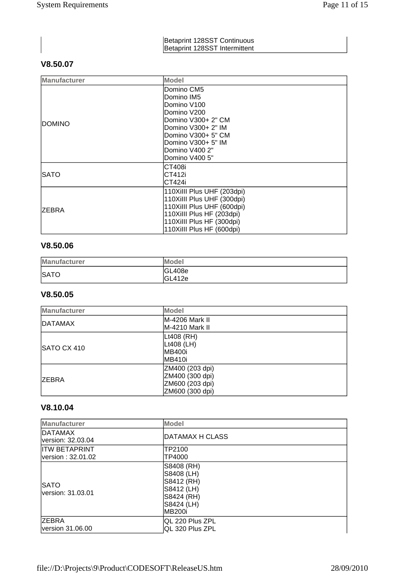#### Betaprint 128SST Continuous Betaprint 128SST Intermittent

# **V8.50.07**

| <b>Manufacturer</b> | Model                      |
|---------------------|----------------------------|
|                     | Domino CM5                 |
|                     | Domino IM5                 |
|                     | Domino V100                |
|                     | Domino V200                |
|                     | lDomino V300+ 2" CM        |
| idomino             | lDomino V300+ 2" IM        |
|                     | lDomino V300+ 5" CM        |
|                     | lDomino V300+ 5" IM        |
|                     | Domino V400 2"             |
|                     | lDomino V400 5"            |
|                     | ICT408i                    |
| ISATO               | ICT412i                    |
|                     | ICT424i                    |
|                     | 110XiIII Plus UHF (203dpi) |
| <b>ZEBRA</b>        | 110Xilll Plus UHF (300dpi) |
|                     | 110Xilll Plus UHF (600dpi) |
|                     | 110Xilll Plus HF (203dpi)  |
|                     | 110Xilll Plus HF (300dpi)  |
|                     | 110Xilll Plus HF (600dpi)  |

## **V8.50.06**

| <b>Manufacturer</b> | <b>IModel</b>     |
|---------------------|-------------------|
| <b>SATO</b>         | GL408e<br> GL412e |

## **V8.50.05**

| <b>Manufacturer</b> | Model                                                                    |
|---------------------|--------------------------------------------------------------------------|
| DATAMAX             | M-4206 Mark II<br>M-4210 Mark II                                         |
| <b>SATO CX 410</b>  | Lt408 (RH)<br> Lt408 (LH)<br>IMB400i<br>IMB410i                          |
| <b>IZEBRA</b>       | ZM400 (203 dpi)<br>ZM400 (300 dpi)<br>ZM600 (203 dpi)<br>ZM600 (300 dpi) |

## **V8.10.04**

| <b>Manufacturer</b>                       | Model                                                                                          |  |
|-------------------------------------------|------------------------------------------------------------------------------------------------|--|
| <b>DATAMAX</b><br>version: 32.03.04       | DATAMAX H CLASS                                                                                |  |
| <b>ITW BETAPRINT</b><br>version: 32.01.02 | TP2100<br>TP4000                                                                               |  |
| <b>SATO</b><br>lversion: 31.03.01         | S8408 (RH)<br> S8408 (LH)<br> S8412 (RH)<br> S8412 (LH)<br>S8424 (RH)<br>S8424 (LH)<br> MB200i |  |
| <b>ZEBRA</b><br>version 31.06.00          | IQL 220 Plus ZPL<br>QL 320 Plus ZPL                                                            |  |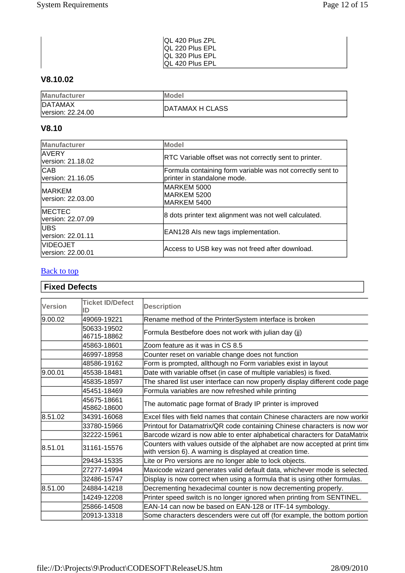| QL 420 Plus ZPL  |
|------------------|
| IQL 220 Plus EPL |
| IQL 320 Plus EPL |
| IQL 420 Plus EPL |

# **V8.10.02**

| Manufacturer                        | <b>IModel</b>   |
|-------------------------------------|-----------------|
| <b>DATAMAX</b><br>version: 22.24.00 | DATAMAX H CLASS |

## **V8.10**

| <b>Manufacturer</b>                  | Model                                                                                     |  |
|--------------------------------------|-------------------------------------------------------------------------------------------|--|
| <b>AVERY</b><br>version: 21.18.02    | <b>RTC Variable offset was not correctly sent to printer.</b>                             |  |
| <b>CAB</b><br>version: 21.16.05      | Formula containing form variable was not correctly sent to<br>printer in standalone mode. |  |
| <b>IMARKEM</b><br>lversion: 22.03.00 | MARKEM 5000<br>IMARKEM 5200<br>MARKEM 5400                                                |  |
| <b>MECTEC</b><br>version: 22.07.09   | 8 dots printer text alignment was not well calculated.                                    |  |
| <b>IUBS</b><br>version: 22.01.11     | EAN128 Als new tags implementation.                                                       |  |
| <b>VIDEOJET</b><br>version: 22.00.01 | Access to USB key was not freed after download.                                           |  |

# **Back to top**

# **Fixed Defects**

| <b>Version</b>         | <b>Ticket ID/Defect</b><br>ID | <b>Description</b>                                                                                                                       |
|------------------------|-------------------------------|------------------------------------------------------------------------------------------------------------------------------------------|
| 9.00.02                | 49069-19221                   | Rename method of the PrinterSystem interface is broken                                                                                   |
|                        | 50633-19502<br>46715-18862    | Formula Bestbefore does not work with julian day (ij)                                                                                    |
|                        | 45863-18601                   | Zoom feature as it was in CS 8.5                                                                                                         |
|                        | 46997-18958                   | Counter reset on variable change does not function                                                                                       |
|                        | 48586-19162                   | Form is prompted, allthough no Form variables exist in layout                                                                            |
| 9.00.01                | 45538-18481                   | Date with variable offset (in case of multiple variables) is fixed.                                                                      |
|                        | 45835-18597                   | The shared list user interface can now properly display different code page                                                              |
|                        | 45451-18469                   | Formula variables are now refreshed while printing                                                                                       |
|                        | 45675-18661<br>45862-18600    | The automatic page format of Brady IP printer is improved                                                                                |
| 8.51.02                | 34391-16068                   | Excel files with field names that contain Chinese characters are now workir                                                              |
|                        | 33780-15966                   | Printout for Datamatrix/QR code containing Chinese characters is now wor                                                                 |
|                        | 32222-15961                   | Barcode wizard is now able to enter alphabetical characters for DataMatrix                                                               |
| 8.51.01<br>31161-15576 |                               | Counters with values outside of the alphabet are now accepted at print time<br>with version 6). A warning is displayed at creation time. |
|                        | 29434-15335                   | Lite or Pro versions are no longer able to lock objects.                                                                                 |
|                        | 27277-14994                   | Maxicode wizard generates valid default data, whichever mode is selected.                                                                |
|                        | 32486-15747                   | Display is now correct when using a formula that is using other formulas.                                                                |
| 8.51.00                | 24884-14218                   | Decrementing hexadecimal counter is now decrementing properly.                                                                           |
|                        | 14249-12208                   | Printer speed switch is no longer ignored when printing from SENTINEL.                                                                   |
|                        | 25866-14508                   | EAN-14 can now be based on EAN-128 or ITF-14 symbology.                                                                                  |
|                        | 20913-13318                   | Some characters descenders were cut off (for example, the bottom portion                                                                 |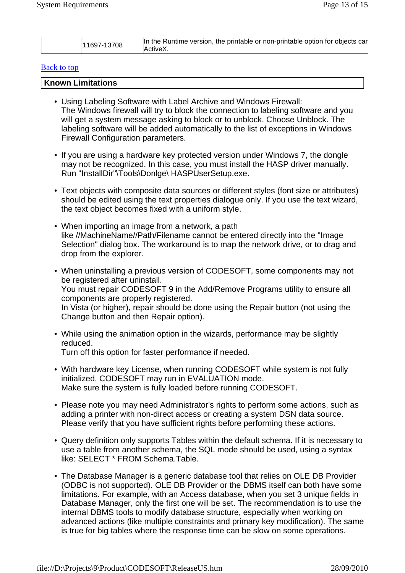| lln<br>i the Runtime version, the printable or non-printable option for objects can<br>1697-13708<br>IActiveX. |  |
|----------------------------------------------------------------------------------------------------------------|--|
|----------------------------------------------------------------------------------------------------------------|--|

#### Back to top

#### **Known Limitations**

- Using Labeling Software with Label Archive and Windows Firewall: The Windows firewall will try to block the connection to labeling software and you will get a system message asking to block or to unblock. Choose Unblock. The labeling software will be added automatically to the list of exceptions in Windows Firewall Configuration parameters.
- If you are using a hardware key protected version under Windows 7, the dongle may not be recognized. In this case, you must install the HASP driver manually. Run "InstallDir"\Tools\Donlge\ HASPUserSetup.exe.
- Text objects with composite data sources or different styles (font size or attributes) should be edited using the text properties dialogue only. If you use the text wizard, the text object becomes fixed with a uniform style.
- When importing an image from a network, a path like //MachineName//Path/Filename cannot be entered directly into the "Image Selection" dialog box. The workaround is to map the network drive, or to drag and drop from the explorer.
- When uninstalling a previous version of CODESOFT, some components may not be registered after uninstall. You must repair CODESOFT 9 in the Add/Remove Programs utility to ensure all components are properly registered. In Vista (or higher), repair should be done using the Repair button (not using the Change button and then Repair option).
- While using the animation option in the wizards, performance may be slightly reduced. Turn off this option for faster performance if needed.
- With hardware key License, when running CODESOFT while system is not fully initialized, CODESOFT may run in EVALUATION mode. Make sure the system is fully loaded before running CODESOFT.
- Please note you may need Administrator's rights to perform some actions, such as adding a printer with non-direct access or creating a system DSN data source. Please verify that you have sufficient rights before performing these actions.
- Query definition only supports Tables within the default schema. If it is necessary to use a table from another schema, the SQL mode should be used, using a syntax like: SELECT \* FROM Schema.Table.
- The Database Manager is a generic database tool that relies on OLE DB Provider (ODBC is not supported). OLE DB Provider or the DBMS itself can both have some limitations. For example, with an Access database, when you set 3 unique fields in Database Manager, only the first one will be set. The recommendation is to use the internal DBMS tools to modify database structure, especially when working on advanced actions (like multiple constraints and primary key modification). The same is true for big tables where the response time can be slow on some operations.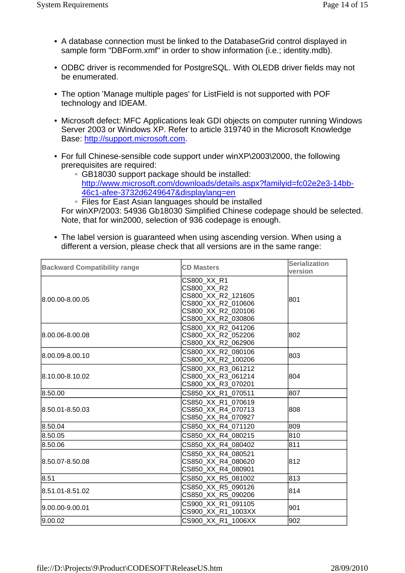- A database connection must be linked to the DatabaseGrid control displayed in sample form "DBForm.xmf" in order to show information (i.e.; identity.mdb).
- ODBC driver is recommended for PostgreSQL. With OLEDB driver fields may not be enumerated.
- The option 'Manage multiple pages' for ListField is not supported with POF technology and IDEAM.
- Microsoft defect: MFC Applications leak GDI objects on computer running Windows Server 2003 or Windows XP. Refer to article 319740 in the Microsoft Knowledge Base: http://support.microsoft.com.
- For full Chinese-sensible code support under winXP\2003\2000, the following prerequisites are required:
	- GB18030 support package should be installed: http://www.microsoft.com/downloads/details.aspx?familyid=fc02e2e3-14bb-46c1-afee-3732d6249647&displaylang=en

◦ Files for East Asian languages should be installed For winXP/2003: 54936 Gb18030 Simplified Chinese codepage should be selected. Note, that for win2000, selection of 936 codepage is enough.

• The label version is guaranteed when using ascending version. When using a different a version, please check that all versions are in the same range:

| <b>Backward Compatibility range</b> | <b>CD Masters</b>                                                                                                  | <b>Serialization</b><br>version |
|-------------------------------------|--------------------------------------------------------------------------------------------------------------------|---------------------------------|
| 8.00.00-8.00.05                     | CS800 XX R1<br>CS800 XX R2<br>CS800 XX R2 121605<br>CS800 XX R2 010606<br>CS800_XX_R2_020106<br>CS800 XX R2 030806 | 801                             |
| 8.00.06-8.00.08                     | CS800 XX R2 041206<br>CS800 XX R2 052206<br>CS800_XX_R2_062906                                                     | 802                             |
| l8.00.09-8.00.10                    | CS800 XX R2 080106<br>CS800 XX R2 100206                                                                           | 803                             |
| 8.10.00-8.10.02                     | CS800 XX R3 061212<br>CS800 XX R3 061214<br>CS800 XX R3 070201                                                     | 804                             |
| 8.50.00                             | CS850 XX R1 070511                                                                                                 | 807                             |
| 8.50.01-8.50.03                     | CS850 XX R1 070619<br>CS850 XX R4 070713<br>CS850 XX R4 070927                                                     | 808                             |
| 8.50.04                             | CS850 XX R4 071120                                                                                                 | 809                             |
| 8.50.05                             | CS850 XX R4 080215                                                                                                 | 810                             |
| 8.50.06                             | CS850_XX_R4_080402                                                                                                 | 811                             |
| 8.50.07-8.50.08                     | CS850 XX R4 080521<br>CS850 XX R4 080620<br>CS850_XX_R4_080901                                                     | 812                             |
| 8.51                                | CS850 XX R5 081002                                                                                                 | 813                             |
| 8.51.01-8.51.02                     | CS850 XX R5 090126<br>CS850 XX R5 090206                                                                           | 814                             |
| 9.00.00-9.00.01                     | CS900 XX R1 091105<br>CS900_XX_R1_1003XX                                                                           | 901                             |
| 9.00.02                             | CS900 XX R1 1006XX                                                                                                 | 902                             |